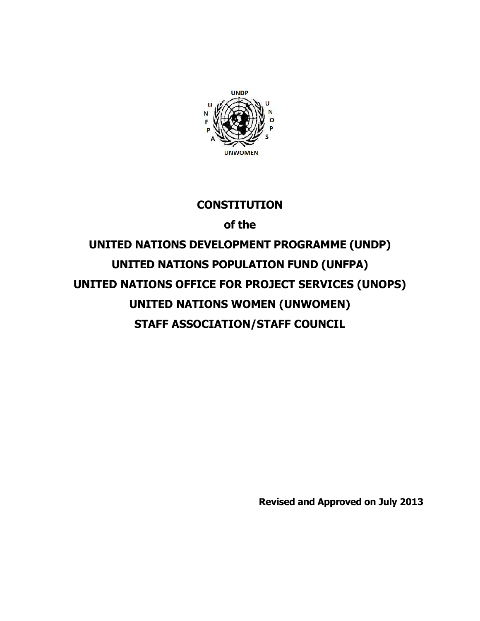

# **CONSTITUTION**

**of the**

**UNITED NATIONS DEVELOPMENT PROGRAMME (UNDP) UNITED NATIONS POPULATION FUND (UNFPA) UNITED NATIONS OFFICE FOR PROJECT SERVICES (UNOPS) UNITED NATIONS WOMEN (UNWOMEN) STAFF ASSOCIATION/STAFF COUNCIL**

**Revised and Approved on July 2013**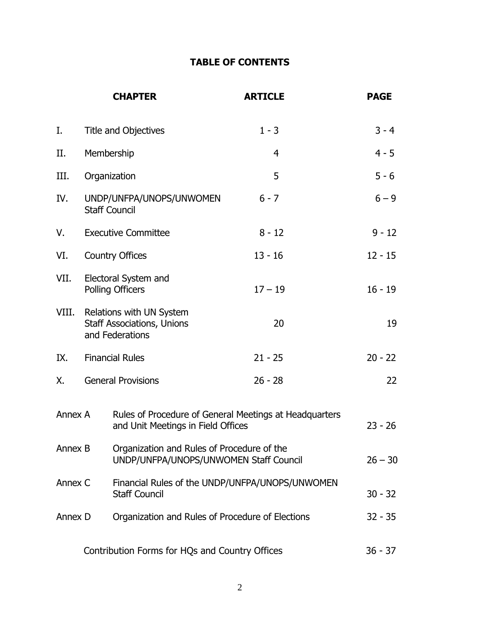# **TABLE OF CONTENTS**

|         |                                                                                              | <b>CHAPTER</b>                                                                       | <b>ARTICLE</b> | <b>PAGE</b> |
|---------|----------------------------------------------------------------------------------------------|--------------------------------------------------------------------------------------|----------------|-------------|
| Ι.      |                                                                                              | <b>Title and Objectives</b>                                                          | $1 - 3$        | $3 - 4$     |
| П.      | Membership                                                                                   |                                                                                      | 4              | $4 - 5$     |
| III.    | Organization                                                                                 |                                                                                      | 5              | $5 - 6$     |
| IV.     | UNDP/UNFPA/UNOPS/UNWOMEN<br><b>Staff Council</b>                                             |                                                                                      | $6 - 7$        | $6 - 9$     |
| V.      | <b>Executive Committee</b>                                                                   |                                                                                      | $8 - 12$       | $9 - 12$    |
| VI.     | <b>Country Offices</b>                                                                       |                                                                                      | $13 - 16$      | $12 - 15$   |
| VII.    | Electoral System and<br><b>Polling Officers</b>                                              |                                                                                      | $17 - 19$      | $16 - 19$   |
| VIII.   |                                                                                              | Relations with UN System<br><b>Staff Associations, Unions</b><br>and Federations     | 20             | 19          |
| IX.     |                                                                                              | <b>Financial Rules</b>                                                               | $21 - 25$      | $20 - 22$   |
| Χ.      |                                                                                              | <b>General Provisions</b>                                                            | $26 - 28$      | 22          |
| Annex A | Rules of Procedure of General Meetings at Headquarters<br>and Unit Meetings in Field Offices |                                                                                      |                | $23 - 26$   |
| Annex B |                                                                                              | Organization and Rules of Procedure of the<br>UNDP/UNFPA/UNOPS/UNWOMEN Staff Council |                | $26 - 30$   |
| Annex C |                                                                                              | Financial Rules of the UNDP/UNFPA/UNOPS/UNWOMEN<br><b>Staff Council</b>              |                | $30 - 32$   |
| Annex D |                                                                                              | Organization and Rules of Procedure of Elections                                     |                | $32 - 35$   |
|         | Contribution Forms for HQs and Country Offices                                               |                                                                                      |                | $36 - 37$   |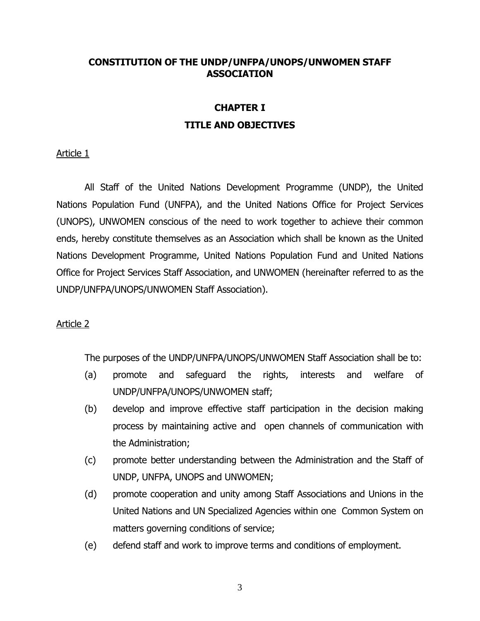### **CONSTITUTION OF THE UNDP/UNFPA/UNOPS/UNWOMEN STAFF ASSOCIATION**

# **CHAPTER I TITLE AND OBJECTIVES**

## Article 1

All Staff of the United Nations Development Programme (UNDP), the United Nations Population Fund (UNFPA), and the United Nations Office for Project Services (UNOPS), UNWOMEN conscious of the need to work together to achieve their common ends, hereby constitute themselves as an Association which shall be known as the United Nations Development Programme, United Nations Population Fund and United Nations Office for Project Services Staff Association, and UNWOMEN (hereinafter referred to as the UNDP/UNFPA/UNOPS/UNWOMEN Staff Association).

### Article 2

The purposes of the UNDP/UNFPA/UNOPS/UNWOMEN Staff Association shall be to:

- (a) promote and safeguard the rights, interests and welfare of UNDP/UNFPA/UNOPS/UNWOMEN staff;
- (b) develop and improve effective staff participation in the decision making process by maintaining active and open channels of communication with the Administration;
- (c) promote better understanding between the Administration and the Staff of UNDP, UNFPA, UNOPS and UNWOMEN;
- (d) promote cooperation and unity among Staff Associations and Unions in the United Nations and UN Specialized Agencies within one Common System on matters governing conditions of service;
- (e) defend staff and work to improve terms and conditions of employment.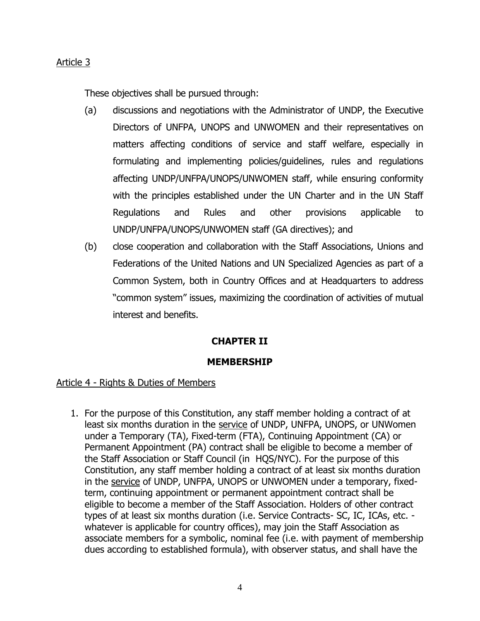These objectives shall be pursued through:

- (a) discussions and negotiations with the Administrator of UNDP, the Executive Directors of UNFPA, UNOPS and UNWOMEN and their representatives on matters affecting conditions of service and staff welfare, especially in formulating and implementing policies/guidelines, rules and regulations affecting UNDP/UNFPA/UNOPS/UNWOMEN staff, while ensuring conformity with the principles established under the UN Charter and in the UN Staff Regulations and Rules and other provisions applicable to UNDP/UNFPA/UNOPS/UNWOMEN staff (GA directives); and
- (b) close cooperation and collaboration with the Staff Associations, Unions and Federations of the United Nations and UN Specialized Agencies as part of a Common System, both in Country Offices and at Headquarters to address "common system" issues, maximizing the coordination of activities of mutual interest and benefits.

# **CHAPTER II**

### **MEMBERSHIP**

## Article 4 - Rights & Duties of Members

1. For the purpose of this Constitution, any staff member holding a contract of at least six months duration in the service of UNDP, UNFPA, UNOPS, or UNWomen under a Temporary (TA), Fixed-term (FTA), Continuing Appointment (CA) or Permanent Appointment (PA) contract shall be eligible to become a member of the Staff Association or Staff Council (in HQS/NYC). For the purpose of this Constitution, any staff member holding a contract of at least six months duration in the service of UNDP, UNFPA, UNOPS or UNWOMEN under a temporary, fixedterm, continuing appointment or permanent appointment contract shall be eligible to become a member of the Staff Association. Holders of other contract types of at least six months duration (i.e. Service Contracts- SC, IC, ICAs, etc. whatever is applicable for country offices), may join the Staff Association as associate members for a symbolic, nominal fee (i.e. with payment of membership dues according to established formula), with observer status, and shall have the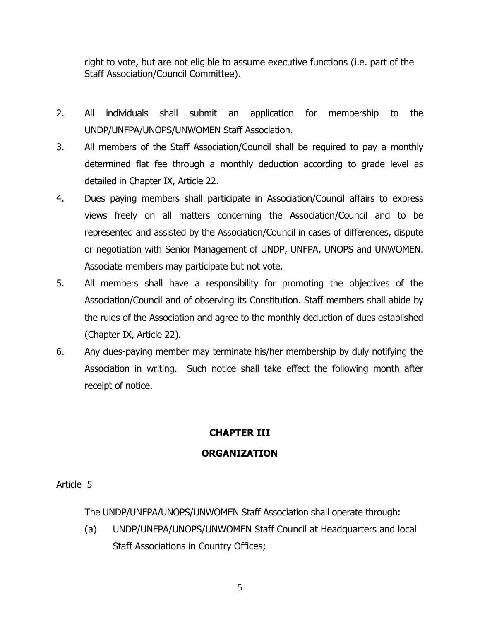right to vote, but are not eligible to assume executive functions (i.e. part of the Staff Association/Council Committee).

- 2. All individuals shall submit an application for membership to the UNDP/UNFPA/UNOPS/UNWOMEN Staff Association.
- 3. All members of the Staff Association/Council shall be required to pay a monthly determined flat fee through a monthly deduction according to grade level as detailed in Chapter IX, Article 22.
- 4. Dues paying members shall participate in Association/Council affairs to express views freely on all matters concerning the Association/Council and to be represented and assisted by the Association/Council in cases of differences, dispute or negotiation with Senior Management of UNDP, UNFPA, UNOPS and UNWOMEN. Associate members may participate but not vote.
- 5. All members shall have a responsibility for promoting the objectives of the Association/Council and of observing its Constitution. Staff members shall abide by the rules of the Association and agree to the monthly deduction of dues established (Chapter IX, Article 22).
- 6. Any dues-paying member may terminate his/her membership by duly notifying the Association in writing. Such notice shall take effect the following month after receipt of notice.

# **CHAPTER III**

# **ORGANIZATION**

# Article 5

The UNDP/UNFPA/UNOPS/UNWOMEN Staff Association shall operate through:

(a) UNDP/UNFPA/UNOPS/UNWOMEN Staff Council at Headquarters and local Staff Associations in Country Offices;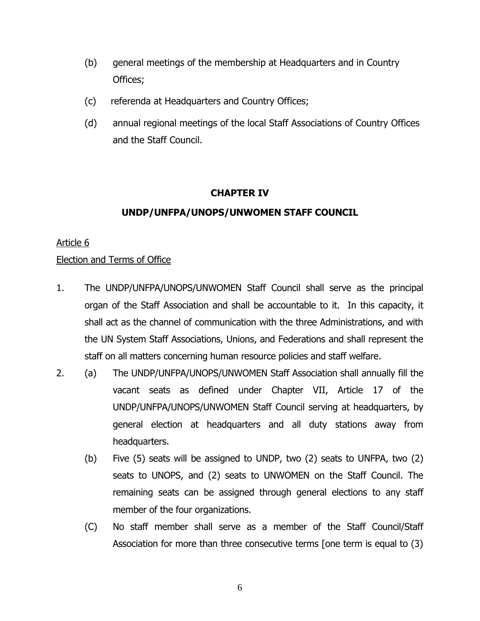- (b) general meetings of the membership at Headquarters and in Country Offices;
- (c) referenda at Headquarters and Country Offices;
- (d) annual regional meetings of the local Staff Associations of Country Offices and the Staff Council.

# **CHAPTER IV**

# **UNDP/UNFPA/UNOPS/UNWOMEN STAFF COUNCIL**

## Article 6

## Election and Terms of Office

- 1. The UNDP/UNFPA/UNOPS/UNWOMEN Staff Council shall serve as the principal organ of the Staff Association and shall be accountable to it. In this capacity, it shall act as the channel of communication with the three Administrations, and with the UN System Staff Associations, Unions, and Federations and shall represent the staff on all matters concerning human resource policies and staff welfare.
- 2. (a) The UNDP/UNFPA/UNOPS/UNWOMEN Staff Association shall annually fill the vacant seats as defined under Chapter VII, Article 17 of the UNDP/UNFPA/UNOPS/UNWOMEN Staff Council serving at headquarters, by general election at headquarters and all duty stations away from headquarters.
	- (b) Five (5) seats will be assigned to UNDP, two (2) seats to UNFPA, two (2) seats to UNOPS, and (2) seats to UNWOMEN on the Staff Council. The remaining seats can be assigned through general elections to any staff member of the four organizations.
	- (C) No staff member shall serve as a member of the Staff Council/Staff Association for more than three consecutive terms [one term is equal to (3)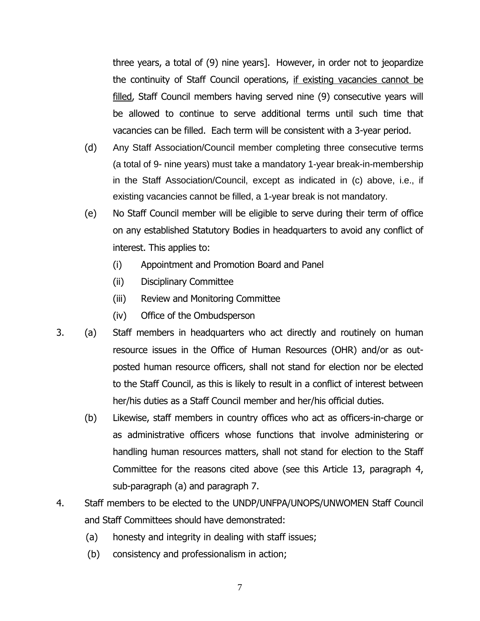three years, a total of (9) nine years]. However, in order not to jeopardize the continuity of Staff Council operations, if existing vacancies cannot be filled, Staff Council members having served nine (9) consecutive years will be allowed to continue to serve additional terms until such time that vacancies can be filled. Each term will be consistent with a 3-year period.

- (d) Any Staff Association/Council member completing three consecutive terms (a total of 9- nine years) must take a mandatory 1-year break-in-membership in the Staff Association/Council, except as indicated in (c) above, i.e., if existing vacancies cannot be filled, a 1-year break is not mandatory.
- (e) No Staff Council member will be eligible to serve during their term of office on any established Statutory Bodies in headquarters to avoid any conflict of interest. This applies to:
	- (i) Appointment and Promotion Board and Panel
	- (ii) Disciplinary Committee
	- (iii) Review and Monitoring Committee
	- (iv) Office of the Ombudsperson
- 3. (a) Staff members in headquarters who act directly and routinely on human resource issues in the Office of Human Resources (OHR) and/or as outposted human resource officers, shall not stand for election nor be elected to the Staff Council, as this is likely to result in a conflict of interest between her/his duties as a Staff Council member and her/his official duties.
	- (b) Likewise, staff members in country offices who act as officers-in-charge or as administrative officers whose functions that involve administering or handling human resources matters, shall not stand for election to the Staff Committee for the reasons cited above (see this Article 13, paragraph 4, sub-paragraph (a) and paragraph 7.
- 4. Staff members to be elected to the UNDP/UNFPA/UNOPS/UNWOMEN Staff Council and Staff Committees should have demonstrated:
	- (a) honesty and integrity in dealing with staff issues;
	- (b) consistency and professionalism in action;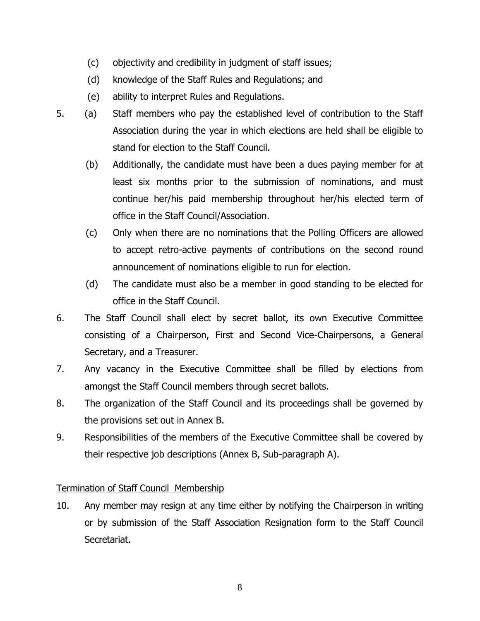- (c) objectivity and credibility in judgment of staff issues;
- (d) knowledge of the Staff Rules and Regulations; and
- (e) ability to interpret Rules and Regulations.
- 5. (a) Staff members who pay the established level of contribution to the Staff Association during the year in which elections are held shall be eligible to stand for election to the Staff Council.
	- (b) Additionally, the candidate must have been a dues paying member for at least six months prior to the submission of nominations, and must continue her/his paid membership throughout her/his elected term of office in the Staff Council/Association.
	- (c) Only when there are no nominations that the Polling Officers are allowed to accept retro-active payments of contributions on the second round announcement of nominations eligible to run for election.
	- (d) The candidate must also be a member in good standing to be elected for office in the Staff Council.
- 6. The Staff Council shall elect by secret ballot, its own Executive Committee consisting of a Chairperson, First and Second Vice-Chairpersons, a General Secretary, and a Treasurer.
- 7. Any vacancy in the Executive Committee shall be filled by elections from amongst the Staff Council members through secret ballots.
- 8. The organization of the Staff Council and its proceedings shall be governed by the provisions set out in Annex B.
- 9. Responsibilities of the members of the Executive Committee shall be covered by their respective job descriptions (Annex B, Sub-paragraph A).

# Termination of Staff Council Membership

10. Any member may resign at any time either by notifying the Chairperson in writing or by submission of the Staff Association Resignation form to the Staff Council Secretariat.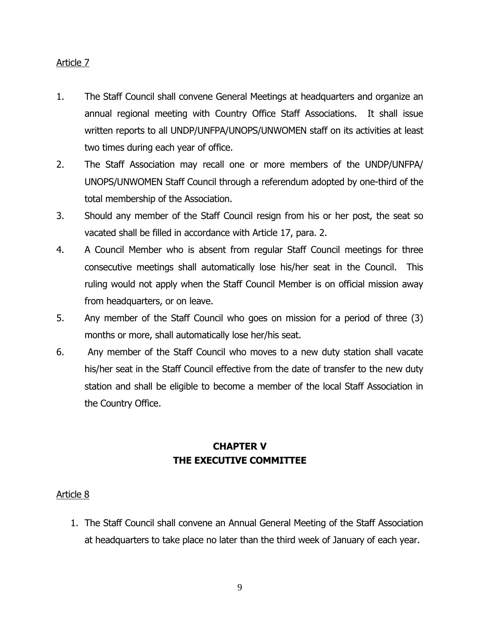- 1. The Staff Council shall convene General Meetings at headquarters and organize an annual regional meeting with Country Office Staff Associations. It shall issue written reports to all UNDP/UNFPA/UNOPS/UNWOMEN staff on its activities at least two times during each year of office.
- 2. The Staff Association may recall one or more members of the UNDP/UNFPA/ UNOPS/UNWOMEN Staff Council through a referendum adopted by one-third of the total membership of the Association.
- 3. Should any member of the Staff Council resign from his or her post, the seat so vacated shall be filled in accordance with Article 17, para. 2.
- 4. A Council Member who is absent from regular Staff Council meetings for three consecutive meetings shall automatically lose his/her seat in the Council. This ruling would not apply when the Staff Council Member is on official mission away from headquarters, or on leave.
- 5. Any member of the Staff Council who goes on mission for a period of three (3) months or more, shall automatically lose her/his seat.
- 6. Any member of the Staff Council who moves to a new duty station shall vacate his/her seat in the Staff Council effective from the date of transfer to the new duty station and shall be eligible to become a member of the local Staff Association in the Country Office.

# **CHAPTER V THE EXECUTIVE COMMITTEE**

# Article 8

1. The Staff Council shall convene an Annual General Meeting of the Staff Association at headquarters to take place no later than the third week of January of each year.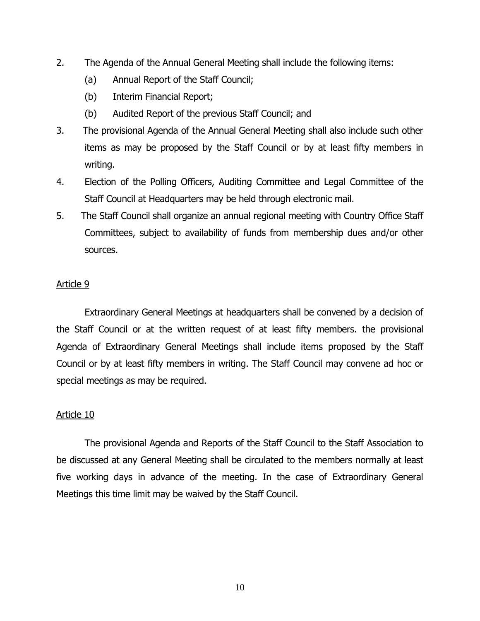- 2. The Agenda of the Annual General Meeting shall include the following items:
	- (a) Annual Report of the Staff Council;
	- (b) Interim Financial Report;
	- (b) Audited Report of the previous Staff Council; and
- 3. The provisional Agenda of the Annual General Meeting shall also include such other items as may be proposed by the Staff Council or by at least fifty members in writing.
- 4. Election of the Polling Officers, Auditing Committee and Legal Committee of the Staff Council at Headquarters may be held through electronic mail.
- 5. The Staff Council shall organize an annual regional meeting with Country Office Staff Committees, subject to availability of funds from membership dues and/or other sources.

Extraordinary General Meetings at headquarters shall be convened by a decision of the Staff Council or at the written request of at least fifty members. the provisional Agenda of Extraordinary General Meetings shall include items proposed by the Staff Council or by at least fifty members in writing. The Staff Council may convene ad hoc or special meetings as may be required.

### Article 10

The provisional Agenda and Reports of the Staff Council to the Staff Association to be discussed at any General Meeting shall be circulated to the members normally at least five working days in advance of the meeting. In the case of Extraordinary General Meetings this time limit may be waived by the Staff Council.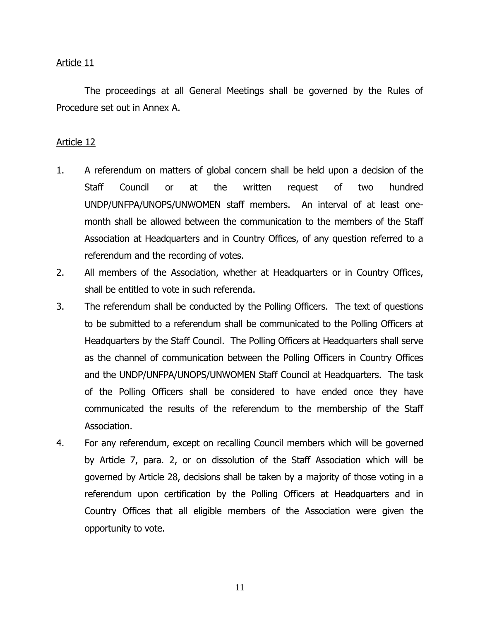The proceedings at all General Meetings shall be governed by the Rules of Procedure set out in Annex A.

- 1. A referendum on matters of global concern shall be held upon a decision of the Staff Council or at the written request of two hundred UNDP/UNFPA/UNOPS/UNWOMEN staff members. An interval of at least onemonth shall be allowed between the communication to the members of the Staff Association at Headquarters and in Country Offices, of any question referred to a referendum and the recording of votes.
- 2. All members of the Association, whether at Headquarters or in Country Offices, shall be entitled to vote in such referenda.
- 3. The referendum shall be conducted by the Polling Officers. The text of questions to be submitted to a referendum shall be communicated to the Polling Officers at Headquarters by the Staff Council. The Polling Officers at Headquarters shall serve as the channel of communication between the Polling Officers in Country Offices and the UNDP/UNFPA/UNOPS/UNWOMEN Staff Council at Headquarters. The task of the Polling Officers shall be considered to have ended once they have communicated the results of the referendum to the membership of the Staff Association.
- 4. For any referendum, except on recalling Council members which will be governed by Article 7, para. 2, or on dissolution of the Staff Association which will be governed by Article 28, decisions shall be taken by a majority of those voting in a referendum upon certification by the Polling Officers at Headquarters and in Country Offices that all eligible members of the Association were given the opportunity to vote.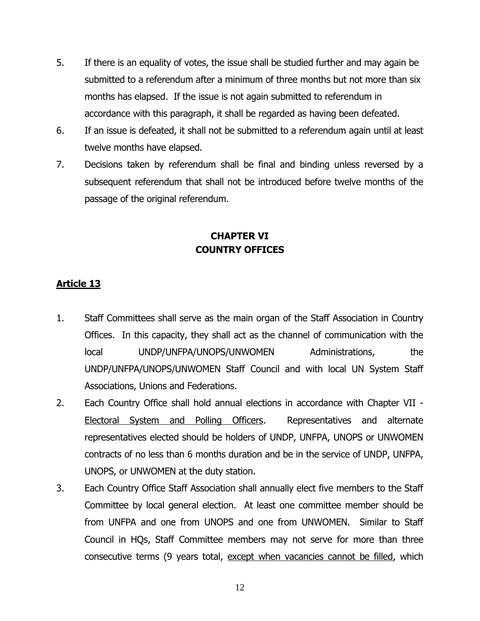- 5. If there is an equality of votes, the issue shall be studied further and may again be submitted to a referendum after a minimum of three months but not more than six months has elapsed. If the issue is not again submitted to referendum in accordance with this paragraph, it shall be regarded as having been defeated.
- 6. If an issue is defeated, it shall not be submitted to a referendum again until at least twelve months have elapsed.
- 7. Decisions taken by referendum shall be final and binding unless reversed by a subsequent referendum that shall not be introduced before twelve months of the passage of the original referendum.

# **CHAPTER VI COUNTRY OFFICES**

- 1. Staff Committees shall serve as the main organ of the Staff Association in Country Offices. In this capacity, they shall act as the channel of communication with the local UNDP/UNFPA/UNOPS/UNWOMEN Administrations, the UNDP/UNFPA/UNOPS/UNWOMEN Staff Council and with local UN System Staff Associations, Unions and Federations.
- 2. Each Country Office shall hold annual elections in accordance with Chapter VII Electoral System and Polling Officers. Representatives and alternate representatives elected should be holders of UNDP, UNFPA, UNOPS or UNWOMEN contracts of no less than 6 months duration and be in the service of UNDP, UNFPA, UNOPS, or UNWOMEN at the duty station.
- 3. Each Country Office Staff Association shall annually elect five members to the Staff Committee by local general election. At least one committee member should be from UNFPA and one from UNOPS and one from UNWOMEN. Similar to Staff Council in HQs, Staff Committee members may not serve for more than three consecutive terms (9 years total, except when vacancies cannot be filled, which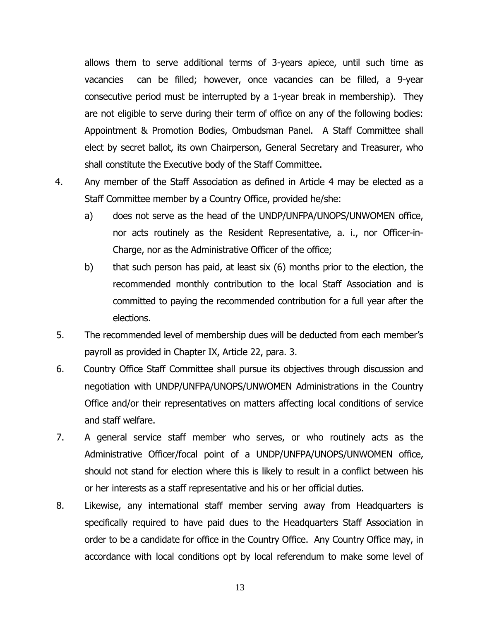allows them to serve additional terms of 3-years apiece, until such time as vacancies can be filled; however, once vacancies can be filled, a 9-year consecutive period must be interrupted by a 1-year break in membership). They are not eligible to serve during their term of office on any of the following bodies: Appointment & Promotion Bodies, Ombudsman Panel. A Staff Committee shall elect by secret ballot, its own Chairperson, General Secretary and Treasurer, who shall constitute the Executive body of the Staff Committee.

4. Any member of the Staff Association as defined in Article 4 may be elected as a Staff Committee member by a Country Office, provided he/she:

- a) does not serve as the head of the UNDP/UNFPA/UNOPS/UNWOMEN office, nor acts routinely as the Resident Representative, a. i., nor Officer-in-Charge, nor as the Administrative Officer of the office;
- b) that such person has paid, at least six (6) months prior to the election, the recommended monthly contribution to the local Staff Association and is committed to paying the recommended contribution for a full year after the elections.
- 5. The recommended level of membership dues will be deducted from each member's payroll as provided in Chapter IX, Article 22, para. 3.
- 6. Country Office Staff Committee shall pursue its objectives through discussion and negotiation with UNDP/UNFPA/UNOPS/UNWOMEN Administrations in the Country Office and/or their representatives on matters affecting local conditions of service and staff welfare.
- 7. A general service staff member who serves, or who routinely acts as the Administrative Officer/focal point of a UNDP/UNFPA/UNOPS/UNWOMEN office, should not stand for election where this is likely to result in a conflict between his or her interests as a staff representative and his or her official duties.
- 8. Likewise, any international staff member serving away from Headquarters is specifically required to have paid dues to the Headquarters Staff Association in order to be a candidate for office in the Country Office. Any Country Office may, in accordance with local conditions opt by local referendum to make some level of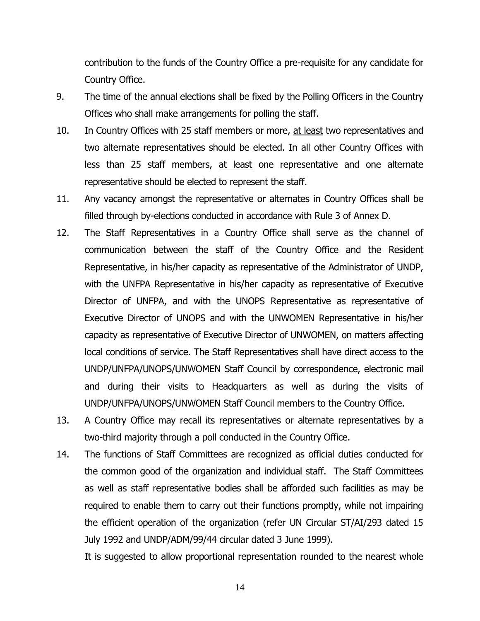contribution to the funds of the Country Office a pre-requisite for any candidate for Country Office.

- 9. The time of the annual elections shall be fixed by the Polling Officers in the Country Offices who shall make arrangements for polling the staff.
- 10. In Country Offices with 25 staff members or more, at least two representatives and two alternate representatives should be elected. In all other Country Offices with less than 25 staff members, at least one representative and one alternate representative should be elected to represent the staff.
- 11. Any vacancy amongst the representative or alternates in Country Offices shall be filled through by-elections conducted in accordance with Rule 3 of Annex D.
- 12. The Staff Representatives in a Country Office shall serve as the channel of communication between the staff of the Country Office and the Resident Representative, in his/her capacity as representative of the Administrator of UNDP, with the UNFPA Representative in his/her capacity as representative of Executive Director of UNFPA, and with the UNOPS Representative as representative of Executive Director of UNOPS and with the UNWOMEN Representative in his/her capacity as representative of Executive Director of UNWOMEN, on matters affecting local conditions of service. The Staff Representatives shall have direct access to the UNDP/UNFPA/UNOPS/UNWOMEN Staff Council by correspondence, electronic mail and during their visits to Headquarters as well as during the visits of UNDP/UNFPA/UNOPS/UNWOMEN Staff Council members to the Country Office.
- 13. A Country Office may recall its representatives or alternate representatives by a two-third majority through a poll conducted in the Country Office.
- 14. The functions of Staff Committees are recognized as official duties conducted for the common good of the organization and individual staff. The Staff Committees as well as staff representative bodies shall be afforded such facilities as may be required to enable them to carry out their functions promptly, while not impairing the efficient operation of the organization (refer UN Circular ST/AI/293 dated 15 July 1992 and UNDP/ADM/99/44 circular dated 3 June 1999).

It is suggested to allow proportional representation rounded to the nearest whole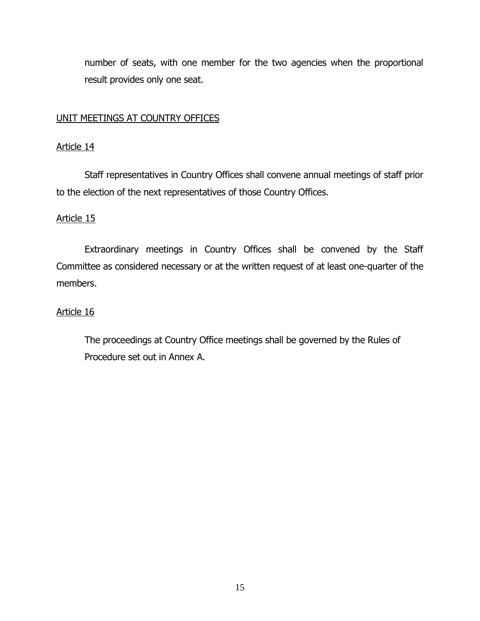number of seats, with one member for the two agencies when the proportional result provides only one seat.

# UNIT MEETINGS AT COUNTRY OFFICES

### Article 14

Staff representatives in Country Offices shall convene annual meetings of staff prior to the election of the next representatives of those Country Offices.

# Article 15

Extraordinary meetings in Country Offices shall be convened by the Staff Committee as considered necessary or at the written request of at least one-quarter of the members.

# Article 16

The proceedings at Country Office meetings shall be governed by the Rules of Procedure set out in Annex A.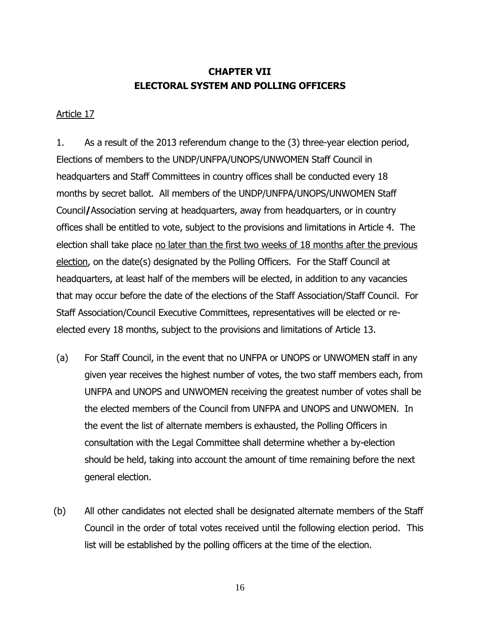# **CHAPTER VII ELECTORAL SYSTEM AND POLLING OFFICERS**

### Article 17

1. As a result of the 2013 referendum change to the (3) three-year election period, Elections of members to the UNDP/UNFPA/UNOPS/UNWOMEN Staff Council in headquarters and Staff Committees in country offices shall be conducted every 18 months by secret ballot. All members of the UNDP/UNFPA/UNOPS/UNWOMEN Staff Council**/**Association serving at headquarters, away from headquarters, or in country offices shall be entitled to vote, subject to the provisions and limitations in Article 4. The election shall take place no later than the first two weeks of 18 months after the previous election, on the date(s) designated by the Polling Officers. For the Staff Council at headquarters, at least half of the members will be elected, in addition to any vacancies that may occur before the date of the elections of the Staff Association/Staff Council. For Staff Association/Council Executive Committees, representatives will be elected or reelected every 18 months, subject to the provisions and limitations of Article 13.

- (a) For Staff Council, in the event that no UNFPA or UNOPS or UNWOMEN staff in any given year receives the highest number of votes, the two staff members each, from UNFPA and UNOPS and UNWOMEN receiving the greatest number of votes shall be the elected members of the Council from UNFPA and UNOPS and UNWOMEN. In the event the list of alternate members is exhausted, the Polling Officers in consultation with the Legal Committee shall determine whether a by-election should be held, taking into account the amount of time remaining before the next general election.
- (b) All other candidates not elected shall be designated alternate members of the Staff Council in the order of total votes received until the following election period. This list will be established by the polling officers at the time of the election.

16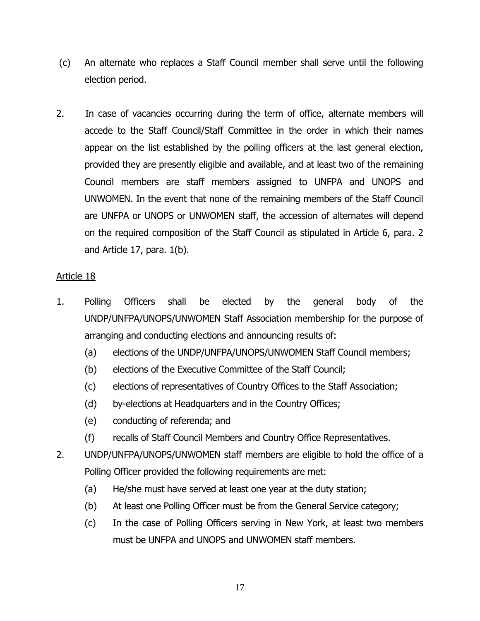- (c) An alternate who replaces a Staff Council member shall serve until the following election period.
- 2. In case of vacancies occurring during the term of office, alternate members will accede to the Staff Council/Staff Committee in the order in which their names appear on the list established by the polling officers at the last general election, provided they are presently eligible and available, and at least two of the remaining Council members are staff members assigned to UNFPA and UNOPS and UNWOMEN. In the event that none of the remaining members of the Staff Council are UNFPA or UNOPS or UNWOMEN staff, the accession of alternates will depend on the required composition of the Staff Council as stipulated in Article 6, para. 2 and Article 17, para. 1(b).

- 1. Polling Officers shall be elected by the general body of the UNDP/UNFPA/UNOPS/UNWOMEN Staff Association membership for the purpose of arranging and conducting elections and announcing results of:
	- (a) elections of the UNDP/UNFPA/UNOPS/UNWOMEN Staff Council members;
	- (b) elections of the Executive Committee of the Staff Council;
	- (c) elections of representatives of Country Offices to the Staff Association;
	- (d) by-elections at Headquarters and in the Country Offices;
	- (e) conducting of referenda; and
	- (f) recalls of Staff Council Members and Country Office Representatives.
- 2. UNDP/UNFPA/UNOPS/UNWOMEN staff members are eligible to hold the office of a Polling Officer provided the following requirements are met:
	- (a) He/she must have served at least one year at the duty station;
	- (b) At least one Polling Officer must be from the General Service category;
	- (c) In the case of Polling Officers serving in New York, at least two members must be UNFPA and UNOPS and UNWOMEN staff members.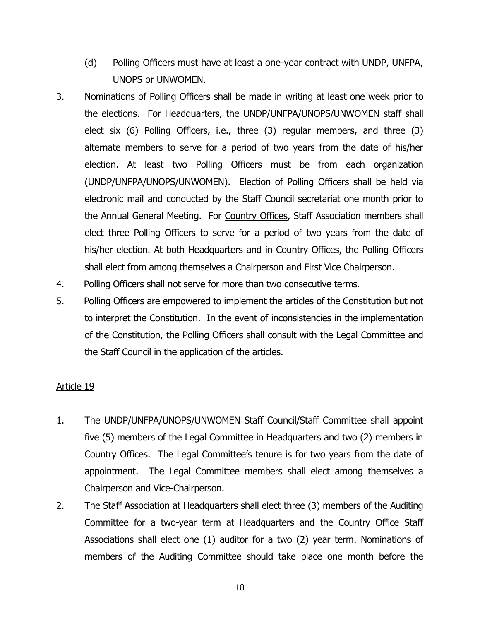- (d) Polling Officers must have at least a one-year contract with UNDP, UNFPA, UNOPS or UNWOMEN.
- 3. Nominations of Polling Officers shall be made in writing at least one week prior to the elections. For Headquarters, the UNDP/UNFPA/UNOPS/UNWOMEN staff shall elect six (6) Polling Officers, i.e., three (3) regular members, and three (3) alternate members to serve for a period of two years from the date of his/her election. At least two Polling Officers must be from each organization (UNDP/UNFPA/UNOPS/UNWOMEN). Election of Polling Officers shall be held via electronic mail and conducted by the Staff Council secretariat one month prior to the Annual General Meeting. For Country Offices, Staff Association members shall elect three Polling Officers to serve for a period of two years from the date of his/her election. At both Headquarters and in Country Offices, the Polling Officers shall elect from among themselves a Chairperson and First Vice Chairperson.
- 4. Polling Officers shall not serve for more than two consecutive terms.
- 5. Polling Officers are empowered to implement the articles of the Constitution but not to interpret the Constitution. In the event of inconsistencies in the implementation of the Constitution, the Polling Officers shall consult with the Legal Committee and the Staff Council in the application of the articles.

- 1. The UNDP/UNFPA/UNOPS/UNWOMEN Staff Council/Staff Committee shall appoint five (5) members of the Legal Committee in Headquarters and two (2) members in Country Offices. The Legal Committee's tenure is for two years from the date of appointment. The Legal Committee members shall elect among themselves a Chairperson and Vice-Chairperson.
- 2. The Staff Association at Headquarters shall elect three (3) members of the Auditing Committee for a two-year term at Headquarters and the Country Office Staff Associations shall elect one (1) auditor for a two (2) year term. Nominations of members of the Auditing Committee should take place one month before the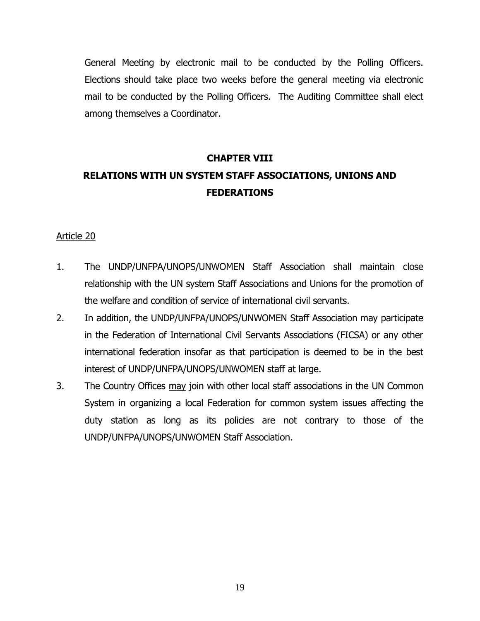General Meeting by electronic mail to be conducted by the Polling Officers. Elections should take place two weeks before the general meeting via electronic mail to be conducted by the Polling Officers. The Auditing Committee shall elect among themselves a Coordinator.

# **CHAPTER VIII RELATIONS WITH UN SYSTEM STAFF ASSOCIATIONS, UNIONS AND FEDERATIONS**

- 1. The UNDP/UNFPA/UNOPS/UNWOMEN Staff Association shall maintain close relationship with the UN system Staff Associations and Unions for the promotion of the welfare and condition of service of international civil servants.
- 2. In addition, the UNDP/UNFPA/UNOPS/UNWOMEN Staff Association may participate in the Federation of International Civil Servants Associations (FICSA) or any other international federation insofar as that participation is deemed to be in the best interest of UNDP/UNFPA/UNOPS/UNWOMEN staff at large.
- 3. The Country Offices may join with other local staff associations in the UN Common System in organizing a local Federation for common system issues affecting the duty station as long as its policies are not contrary to those of the UNDP/UNFPA/UNOPS/UNWOMEN Staff Association.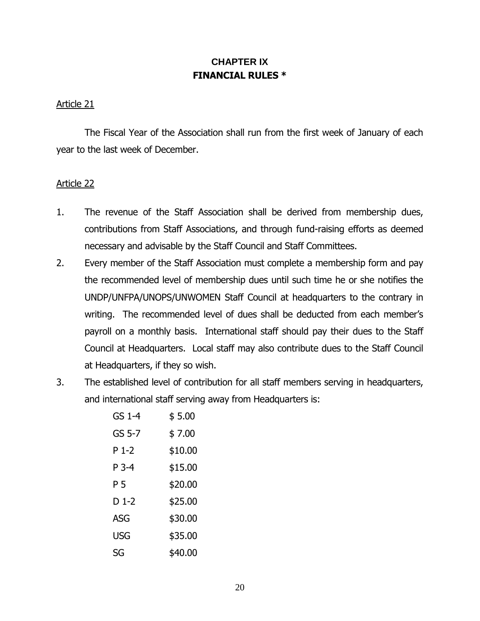# **CHAPTER IX FINANCIAL RULES \***

### Article 21

The Fiscal Year of the Association shall run from the first week of January of each year to the last week of December.

- 1. The revenue of the Staff Association shall be derived from membership dues, contributions from Staff Associations, and through fund-raising efforts as deemed necessary and advisable by the Staff Council and Staff Committees.
- 2. Every member of the Staff Association must complete a membership form and pay the recommended level of membership dues until such time he or she notifies the UNDP/UNFPA/UNOPS/UNWOMEN Staff Council at headquarters to the contrary in writing. The recommended level of dues shall be deducted from each member's payroll on a monthly basis. International staff should pay their dues to the Staff Council at Headquarters. Local staff may also contribute dues to the Staff Council at Headquarters, if they so wish.
- 3. The established level of contribution for all staff members serving in headquarters, and international staff serving away from Headquarters is:

| GS 1-4 | \$5.00  |  |  |
|--------|---------|--|--|
| GS 5-7 | \$7.00  |  |  |
| P 1-2  | \$10.00 |  |  |
| P 3-4  | \$15.00 |  |  |
| P 5    | \$20.00 |  |  |
| D 1-2  | \$25.00 |  |  |
| ASG    | \$30.00 |  |  |
| USG    | \$35.00 |  |  |
| SG     | \$40.00 |  |  |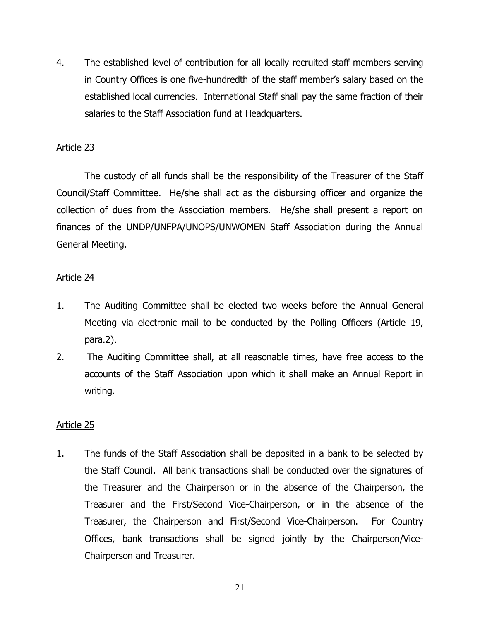4. The established level of contribution for all locally recruited staff members serving in Country Offices is one five-hundredth of the staff member's salary based on the established local currencies. International Staff shall pay the same fraction of their salaries to the Staff Association fund at Headquarters.

# Article 23

The custody of all funds shall be the responsibility of the Treasurer of the Staff Council/Staff Committee. He/she shall act as the disbursing officer and organize the collection of dues from the Association members. He/she shall present a report on finances of the UNDP/UNFPA/UNOPS/UNWOMEN Staff Association during the Annual General Meeting.

## Article 24

- 1. The Auditing Committee shall be elected two weeks before the Annual General Meeting via electronic mail to be conducted by the Polling Officers (Article 19, para.2).
- 2. The Auditing Committee shall, at all reasonable times, have free access to the accounts of the Staff Association upon which it shall make an Annual Report in writing.

# Article 25

1. The funds of the Staff Association shall be deposited in a bank to be selected by the Staff Council. All bank transactions shall be conducted over the signatures of the Treasurer and the Chairperson or in the absence of the Chairperson, the Treasurer and the First/Second Vice-Chairperson, or in the absence of the Treasurer, the Chairperson and First/Second Vice-Chairperson. For Country Offices, bank transactions shall be signed jointly by the Chairperson/Vice-Chairperson and Treasurer.

21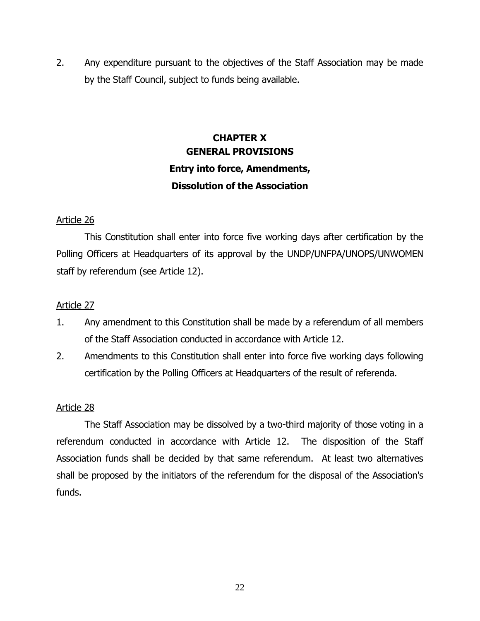2. Any expenditure pursuant to the objectives of the Staff Association may be made by the Staff Council, subject to funds being available.

# **CHAPTER X GENERAL PROVISIONS Entry into force, Amendments, Dissolution of the Association**

## Article 26

This Constitution shall enter into force five working days after certification by the Polling Officers at Headquarters of its approval by the UNDP/UNFPA/UNOPS/UNWOMEN staff by referendum (see Article 12).

## Article 27

- 1. Any amendment to this Constitution shall be made by a referendum of all members of the Staff Association conducted in accordance with Article 12.
- 2. Amendments to this Constitution shall enter into force five working days following certification by the Polling Officers at Headquarters of the result of referenda.

### Article 28

The Staff Association may be dissolved by a two-third majority of those voting in a referendum conducted in accordance with Article 12. The disposition of the Staff Association funds shall be decided by that same referendum. At least two alternatives shall be proposed by the initiators of the referendum for the disposal of the Association's funds.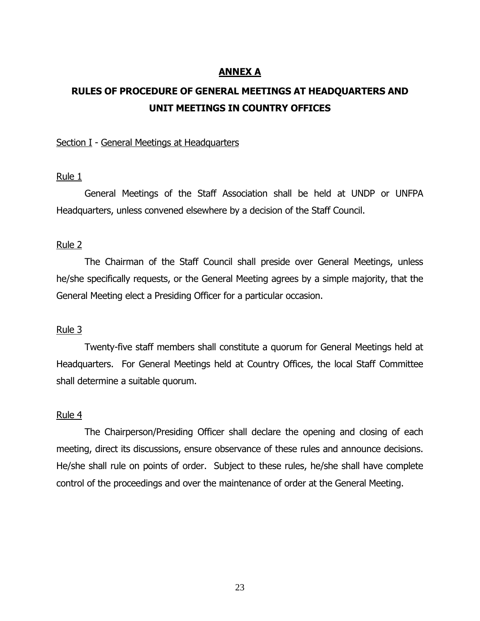### **ANNEX A**

# **RULES OF PROCEDURE OF GENERAL MEETINGS AT HEADQUARTERS AND UNIT MEETINGS IN COUNTRY OFFICES**

#### Section I - General Meetings at Headquarters

#### Rule 1

General Meetings of the Staff Association shall be held at UNDP or UNFPA Headquarters, unless convened elsewhere by a decision of the Staff Council.

#### Rule 2

The Chairman of the Staff Council shall preside over General Meetings, unless he/she specifically requests, or the General Meeting agrees by a simple majority, that the General Meeting elect a Presiding Officer for a particular occasion.

#### Rule 3

Twenty-five staff members shall constitute a quorum for General Meetings held at Headquarters. For General Meetings held at Country Offices, the local Staff Committee shall determine a suitable quorum.

#### Rule 4

The Chairperson/Presiding Officer shall declare the opening and closing of each meeting, direct its discussions, ensure observance of these rules and announce decisions. He/she shall rule on points of order. Subject to these rules, he/she shall have complete control of the proceedings and over the maintenance of order at the General Meeting.

23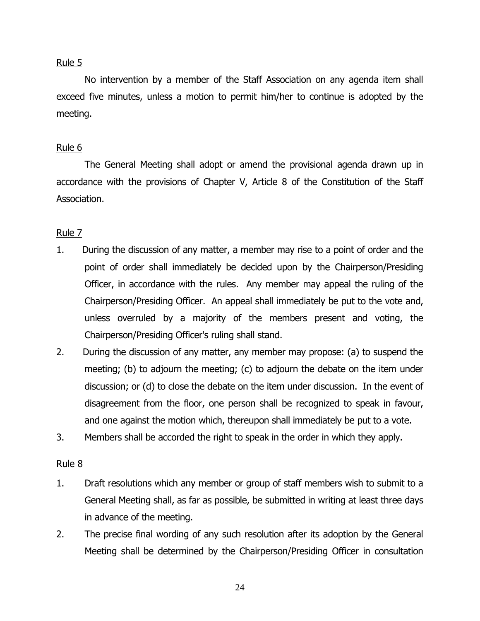No intervention by a member of the Staff Association on any agenda item shall exceed five minutes, unless a motion to permit him/her to continue is adopted by the meeting.

# Rule 6

The General Meeting shall adopt or amend the provisional agenda drawn up in accordance with the provisions of Chapter V, Article 8 of the Constitution of the Staff Association.

# Rule 7

- 1. During the discussion of any matter, a member may rise to a point of order and the point of order shall immediately be decided upon by the Chairperson/Presiding Officer, in accordance with the rules. Any member may appeal the ruling of the Chairperson/Presiding Officer. An appeal shall immediately be put to the vote and, unless overruled by a majority of the members present and voting, the Chairperson/Presiding Officer's ruling shall stand.
- 2. During the discussion of any matter, any member may propose: (a) to suspend the meeting; (b) to adjourn the meeting; (c) to adjourn the debate on the item under discussion; or (d) to close the debate on the item under discussion. In the event of disagreement from the floor, one person shall be recognized to speak in favour, and one against the motion which, thereupon shall immediately be put to a vote.
- 3. Members shall be accorded the right to speak in the order in which they apply.

# Rule 8

- 1. Draft resolutions which any member or group of staff members wish to submit to a General Meeting shall, as far as possible, be submitted in writing at least three days in advance of the meeting.
- 2. The precise final wording of any such resolution after its adoption by the General Meeting shall be determined by the Chairperson/Presiding Officer in consultation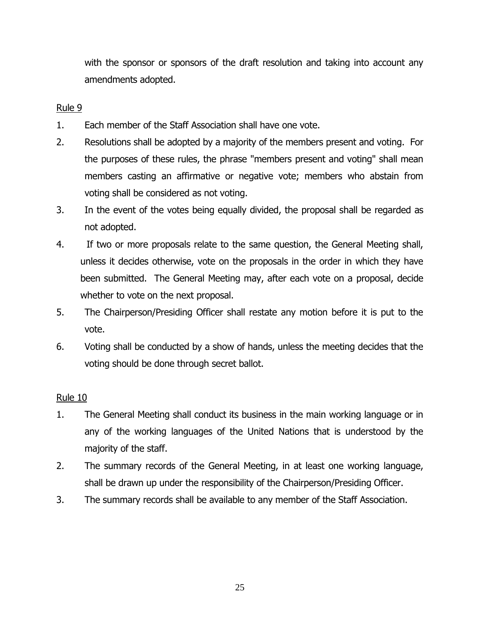with the sponsor or sponsors of the draft resolution and taking into account any amendments adopted.

# Rule 9

- 1. Each member of the Staff Association shall have one vote.
- 2. Resolutions shall be adopted by a majority of the members present and voting. For the purposes of these rules, the phrase "members present and voting" shall mean members casting an affirmative or negative vote; members who abstain from voting shall be considered as not voting.
- 3. In the event of the votes being equally divided, the proposal shall be regarded as not adopted.
- 4. If two or more proposals relate to the same question, the General Meeting shall, unless it decides otherwise, vote on the proposals in the order in which they have been submitted. The General Meeting may, after each vote on a proposal, decide whether to vote on the next proposal.
- 5. The Chairperson/Presiding Officer shall restate any motion before it is put to the vote.
- 6. Voting shall be conducted by a show of hands, unless the meeting decides that the voting should be done through secret ballot.

# Rule 10

- 1. The General Meeting shall conduct its business in the main working language or in any of the working languages of the United Nations that is understood by the majority of the staff.
- 2. The summary records of the General Meeting, in at least one working language, shall be drawn up under the responsibility of the Chairperson/Presiding Officer.
- 3. The summary records shall be available to any member of the Staff Association.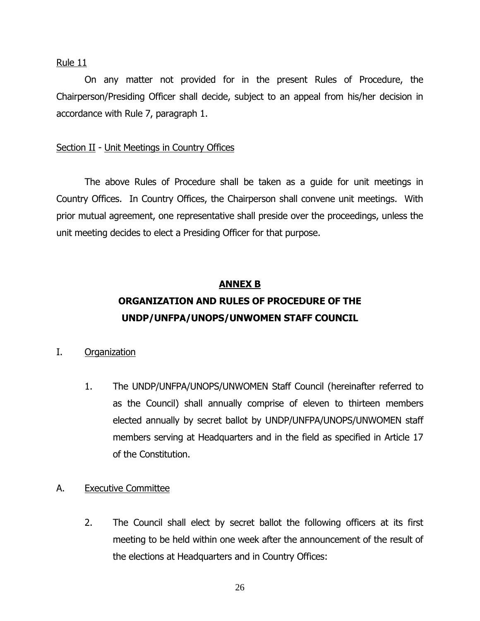On any matter not provided for in the present Rules of Procedure, the Chairperson/Presiding Officer shall decide, subject to an appeal from his/her decision in accordance with Rule 7, paragraph 1.

### Section II - Unit Meetings in Country Offices

The above Rules of Procedure shall be taken as a guide for unit meetings in Country Offices. In Country Offices, the Chairperson shall convene unit meetings. With prior mutual agreement, one representative shall preside over the proceedings, unless the unit meeting decides to elect a Presiding Officer for that purpose.

### **ANNEX B**

# **ORGANIZATION AND RULES OF PROCEDURE OF THE UNDP/UNFPA/UNOPS/UNWOMEN STAFF COUNCIL**

### I. Organization

1. The UNDP/UNFPA/UNOPS/UNWOMEN Staff Council (hereinafter referred to as the Council) shall annually comprise of eleven to thirteen members elected annually by secret ballot by UNDP/UNFPA/UNOPS/UNWOMEN staff members serving at Headquarters and in the field as specified in Article 17 of the Constitution.

### A. Executive Committee

2. The Council shall elect by secret ballot the following officers at its first meeting to be held within one week after the announcement of the result of the elections at Headquarters and in Country Offices: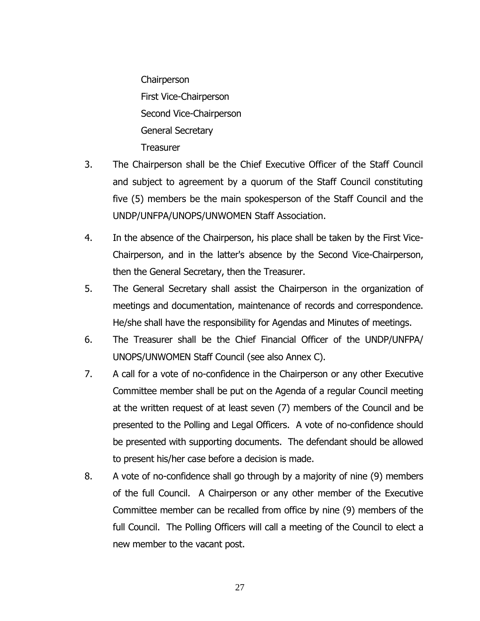**Chairperson** First Vice-Chairperson Second Vice-Chairperson General Secretary **Treasurer** 

- 3. The Chairperson shall be the Chief Executive Officer of the Staff Council and subject to agreement by a quorum of the Staff Council constituting five (5) members be the main spokesperson of the Staff Council and the UNDP/UNFPA/UNOPS/UNWOMEN Staff Association.
- 4. In the absence of the Chairperson, his place shall be taken by the First Vice-Chairperson, and in the latter's absence by the Second Vice-Chairperson, then the General Secretary, then the Treasurer.
- 5. The General Secretary shall assist the Chairperson in the organization of meetings and documentation, maintenance of records and correspondence. He/she shall have the responsibility for Agendas and Minutes of meetings.
- 6. The Treasurer shall be the Chief Financial Officer of the UNDP/UNFPA/ UNOPS/UNWOMEN Staff Council (see also Annex C).
- 7. A call for a vote of no-confidence in the Chairperson or any other Executive Committee member shall be put on the Agenda of a regular Council meeting at the written request of at least seven (7) members of the Council and be presented to the Polling and Legal Officers. A vote of no-confidence should be presented with supporting documents. The defendant should be allowed to present his/her case before a decision is made.
- 8. A vote of no-confidence shall go through by a majority of nine (9) members of the full Council. A Chairperson or any other member of the Executive Committee member can be recalled from office by nine (9) members of the full Council. The Polling Officers will call a meeting of the Council to elect a new member to the vacant post.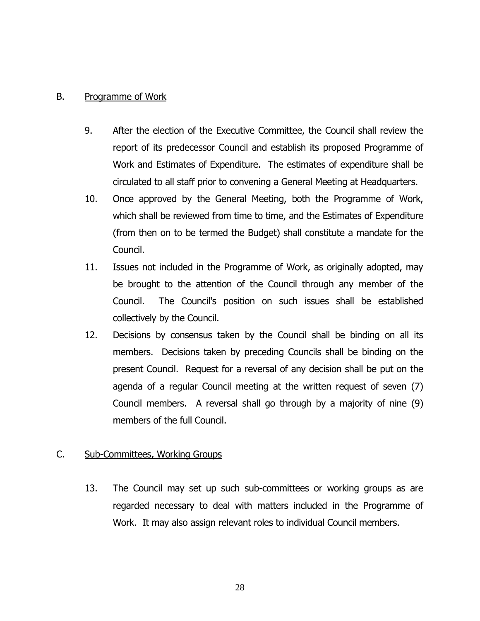### B. Programme of Work

- 9. After the election of the Executive Committee, the Council shall review the report of its predecessor Council and establish its proposed Programme of Work and Estimates of Expenditure. The estimates of expenditure shall be circulated to all staff prior to convening a General Meeting at Headquarters.
- 10. Once approved by the General Meeting, both the Programme of Work, which shall be reviewed from time to time, and the Estimates of Expenditure (from then on to be termed the Budget) shall constitute a mandate for the Council.
- 11. Issues not included in the Programme of Work, as originally adopted, may be brought to the attention of the Council through any member of the Council. The Council's position on such issues shall be established collectively by the Council.
- 12. Decisions by consensus taken by the Council shall be binding on all its members. Decisions taken by preceding Councils shall be binding on the present Council. Request for a reversal of any decision shall be put on the agenda of a regular Council meeting at the written request of seven (7) Council members. A reversal shall go through by a majority of nine (9) members of the full Council.

# C. Sub-Committees, Working Groups

13. The Council may set up such sub-committees or working groups as are regarded necessary to deal with matters included in the Programme of Work. It may also assign relevant roles to individual Council members.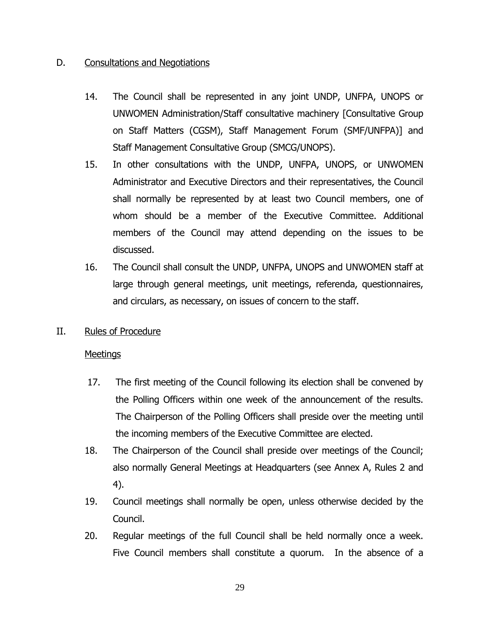# D. Consultations and Negotiations

- 14. The Council shall be represented in any joint UNDP, UNFPA, UNOPS or UNWOMEN Administration/Staff consultative machinery [Consultative Group on Staff Matters (CGSM), Staff Management Forum (SMF/UNFPA)] and Staff Management Consultative Group (SMCG/UNOPS).
- 15. In other consultations with the UNDP, UNFPA, UNOPS, or UNWOMEN Administrator and Executive Directors and their representatives, the Council shall normally be represented by at least two Council members, one of whom should be a member of the Executive Committee. Additional members of the Council may attend depending on the issues to be discussed.
- 16. The Council shall consult the UNDP, UNFPA, UNOPS and UNWOMEN staff at large through general meetings, unit meetings, referenda, questionnaires, and circulars, as necessary, on issues of concern to the staff.
- II. Rules of Procedure

### Meetings

- 17. The first meeting of the Council following its election shall be convened by the Polling Officers within one week of the announcement of the results. The Chairperson of the Polling Officers shall preside over the meeting until the incoming members of the Executive Committee are elected.
- 18. The Chairperson of the Council shall preside over meetings of the Council; also normally General Meetings at Headquarters (see Annex A, Rules 2 and 4).
- 19. Council meetings shall normally be open, unless otherwise decided by the Council.
- 20. Regular meetings of the full Council shall be held normally once a week. Five Council members shall constitute a quorum. In the absence of a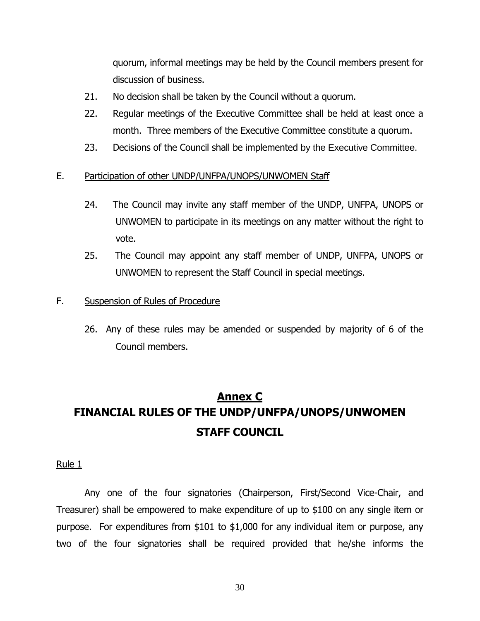quorum, informal meetings may be held by the Council members present for discussion of business.

- 21. No decision shall be taken by the Council without a quorum.
- 22. Regular meetings of the Executive Committee shall be held at least once a month. Three members of the Executive Committee constitute a quorum.
- 23. Decisions of the Council shall be implemented by the Executive Committee.

## E. Participation of other UNDP/UNFPA/UNOPS/UNWOMEN Staff

- 24. The Council may invite any staff member of the UNDP, UNFPA, UNOPS or UNWOMEN to participate in its meetings on any matter without the right to vote.
- 25. The Council may appoint any staff member of UNDP, UNFPA, UNOPS or UNWOMEN to represent the Staff Council in special meetings.

### F. Suspension of Rules of Procedure

26. Any of these rules may be amended or suspended by majority of 6 of the Council members.

# **Annex C FINANCIAL RULES OF THE UNDP/UNFPA/UNOPS/UNWOMEN STAFF COUNCIL**

#### Rule 1

Any one of the four signatories (Chairperson, First/Second Vice-Chair, and Treasurer) shall be empowered to make expenditure of up to \$100 on any single item or purpose. For expenditures from \$101 to \$1,000 for any individual item or purpose, any two of the four signatories shall be required provided that he/she informs the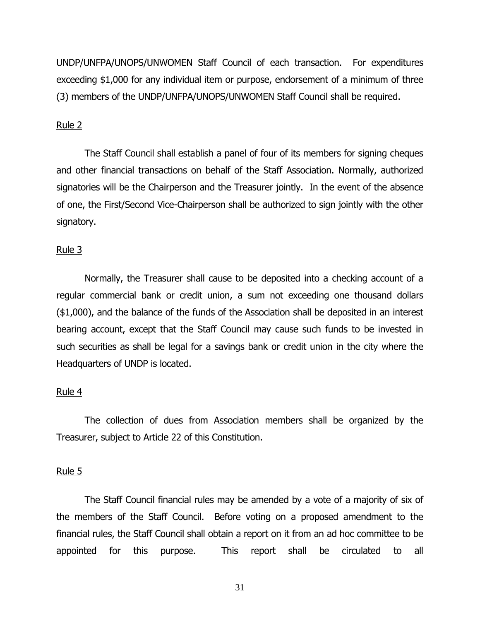UNDP/UNFPA/UNOPS/UNWOMEN Staff Council of each transaction. For expenditures exceeding \$1,000 for any individual item or purpose, endorsement of a minimum of three (3) members of the UNDP/UNFPA/UNOPS/UNWOMEN Staff Council shall be required.

#### Rule 2

The Staff Council shall establish a panel of four of its members for signing cheques and other financial transactions on behalf of the Staff Association. Normally, authorized signatories will be the Chairperson and the Treasurer jointly. In the event of the absence of one, the First/Second Vice-Chairperson shall be authorized to sign jointly with the other signatory.

#### Rule 3

Normally, the Treasurer shall cause to be deposited into a checking account of a regular commercial bank or credit union, a sum not exceeding one thousand dollars (\$1,000), and the balance of the funds of the Association shall be deposited in an interest bearing account, except that the Staff Council may cause such funds to be invested in such securities as shall be legal for a savings bank or credit union in the city where the Headquarters of UNDP is located.

#### Rule 4

The collection of dues from Association members shall be organized by the Treasurer, subject to Article 22 of this Constitution.

#### Rule 5

The Staff Council financial rules may be amended by a vote of a majority of six of the members of the Staff Council. Before voting on a proposed amendment to the financial rules, the Staff Council shall obtain a report on it from an ad hoc committee to be appointed for this purpose. This report shall be circulated to all

31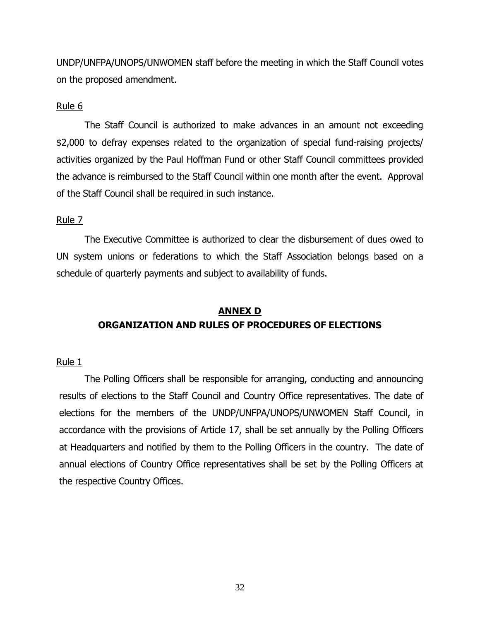UNDP/UNFPA/UNOPS/UNWOMEN staff before the meeting in which the Staff Council votes on the proposed amendment.

### Rule 6

The Staff Council is authorized to make advances in an amount not exceeding \$2,000 to defray expenses related to the organization of special fund-raising projects/ activities organized by the Paul Hoffman Fund or other Staff Council committees provided the advance is reimbursed to the Staff Council within one month after the event. Approval of the Staff Council shall be required in such instance.

## Rule 7

The Executive Committee is authorized to clear the disbursement of dues owed to UN system unions or federations to which the Staff Association belongs based on a schedule of quarterly payments and subject to availability of funds.

# **ANNEX D ORGANIZATION AND RULES OF PROCEDURES OF ELECTIONS**

### Rule 1

The Polling Officers shall be responsible for arranging, conducting and announcing results of elections to the Staff Council and Country Office representatives. The date of elections for the members of the UNDP/UNFPA/UNOPS/UNWOMEN Staff Council, in accordance with the provisions of Article 17, shall be set annually by the Polling Officers at Headquarters and notified by them to the Polling Officers in the country. The date of annual elections of Country Office representatives shall be set by the Polling Officers at the respective Country Offices.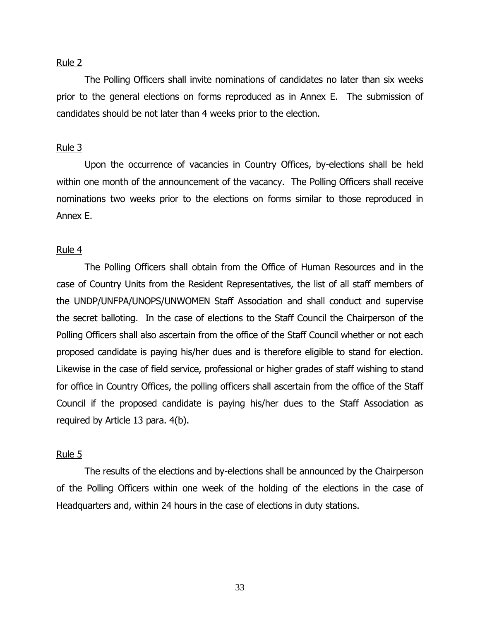The Polling Officers shall invite nominations of candidates no later than six weeks prior to the general elections on forms reproduced as in Annex E. The submission of candidates should be not later than 4 weeks prior to the election.

#### Rule 3

Upon the occurrence of vacancies in Country Offices, by-elections shall be held within one month of the announcement of the vacancy. The Polling Officers shall receive nominations two weeks prior to the elections on forms similar to those reproduced in Annex E.

#### Rule 4

The Polling Officers shall obtain from the Office of Human Resources and in the case of Country Units from the Resident Representatives, the list of all staff members of the UNDP/UNFPA/UNOPS/UNWOMEN Staff Association and shall conduct and supervise the secret balloting. In the case of elections to the Staff Council the Chairperson of the Polling Officers shall also ascertain from the office of the Staff Council whether or not each proposed candidate is paying his/her dues and is therefore eligible to stand for election. Likewise in the case of field service, professional or higher grades of staff wishing to stand for office in Country Offices, the polling officers shall ascertain from the office of the Staff Council if the proposed candidate is paying his/her dues to the Staff Association as required by Article 13 para. 4(b).

#### Rule 5

The results of the elections and by-elections shall be announced by the Chairperson of the Polling Officers within one week of the holding of the elections in the case of Headquarters and, within 24 hours in the case of elections in duty stations.

33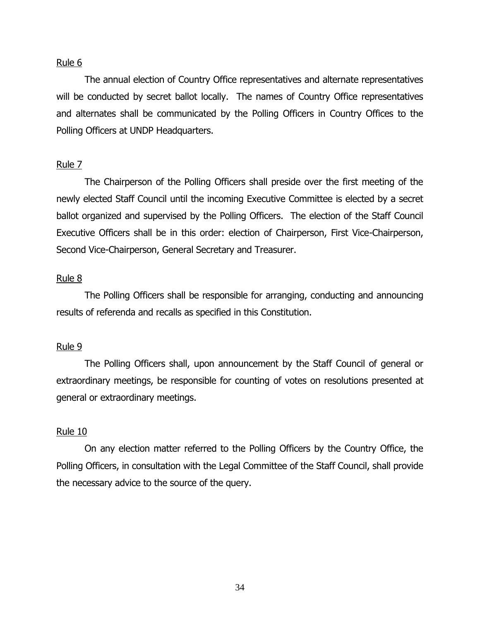The annual election of Country Office representatives and alternate representatives will be conducted by secret ballot locally. The names of Country Office representatives and alternates shall be communicated by the Polling Officers in Country Offices to the Polling Officers at UNDP Headquarters.

#### Rule 7

The Chairperson of the Polling Officers shall preside over the first meeting of the newly elected Staff Council until the incoming Executive Committee is elected by a secret ballot organized and supervised by the Polling Officers. The election of the Staff Council Executive Officers shall be in this order: election of Chairperson, First Vice-Chairperson, Second Vice-Chairperson, General Secretary and Treasurer.

#### Rule 8

The Polling Officers shall be responsible for arranging, conducting and announcing results of referenda and recalls as specified in this Constitution.

#### Rule 9

The Polling Officers shall, upon announcement by the Staff Council of general or extraordinary meetings, be responsible for counting of votes on resolutions presented at general or extraordinary meetings.

#### Rule 10

On any election matter referred to the Polling Officers by the Country Office, the Polling Officers, in consultation with the Legal Committee of the Staff Council, shall provide the necessary advice to the source of the query.

34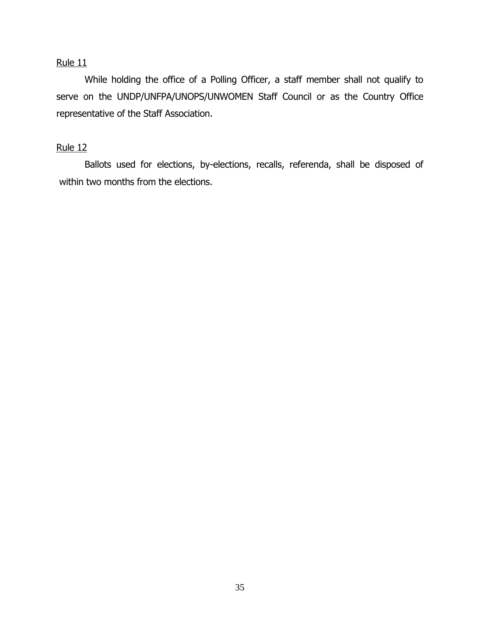While holding the office of a Polling Officer, a staff member shall not qualify to serve on the UNDP/UNFPA/UNOPS/UNWOMEN Staff Council or as the Country Office representative of the Staff Association.

# Rule 12

 Ballots used for elections, by-elections, recalls, referenda, shall be disposed of within two months from the elections.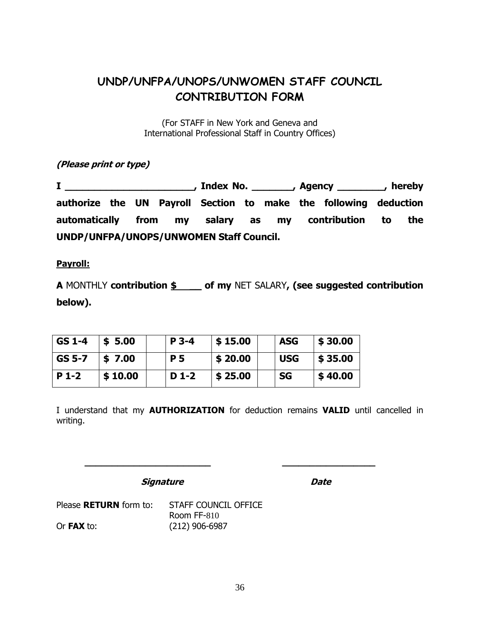# **UNDP/UNFPA/UNOPS/UNWOMEN STAFF COUNCIL CONTRIBUTION FORM**

(For STAFF in New York and Geneva and International Professional Staff in Country Offices)

**(Please print or type)**

**I \_\_\_\_\_\_\_\_\_\_\_\_\_\_\_\_\_\_\_\_\_\_, Index No. \_\_\_\_\_\_\_, Agency \_\_\_\_\_\_\_\_, hereby authorize the UN Payroll Section to make the following deduction automatically from my salary as my contribution to the UNDP/UNFPA/UNOPS/UNWOMEN Staff Council.**

**Payroll:**

**A** MONTHLY **contribution \$ \_\_ of my** NET SALARY**, (see suggested contribution below).**

| GS 1-4 | \$5.00  | $P$ 3-4   | \$15.00 | <b>ASG</b> | \$30.00 |
|--------|---------|-----------|---------|------------|---------|
| GS 5-7 | \$7.00  | <b>P5</b> | \$20.00 | l USG      | \$35.00 |
| P 1-2  | \$10.00 | $D_1-2$   | \$25.00 | <b>SG</b>  | \$40.00 |

I understand that my **AUTHORIZATION** for deduction remains **VALID** until cancelled in writing.

**\_\_\_\_\_\_\_\_\_\_\_\_\_\_\_\_\_\_\_\_\_\_\_ \_\_\_\_\_\_\_\_\_\_\_\_\_\_\_\_\_**

**Signature Date** 

Please **RETURN** form to: STAFF COUNCIL OFFICE Room FF-810 Or **FAX** to: (212) 906-6987